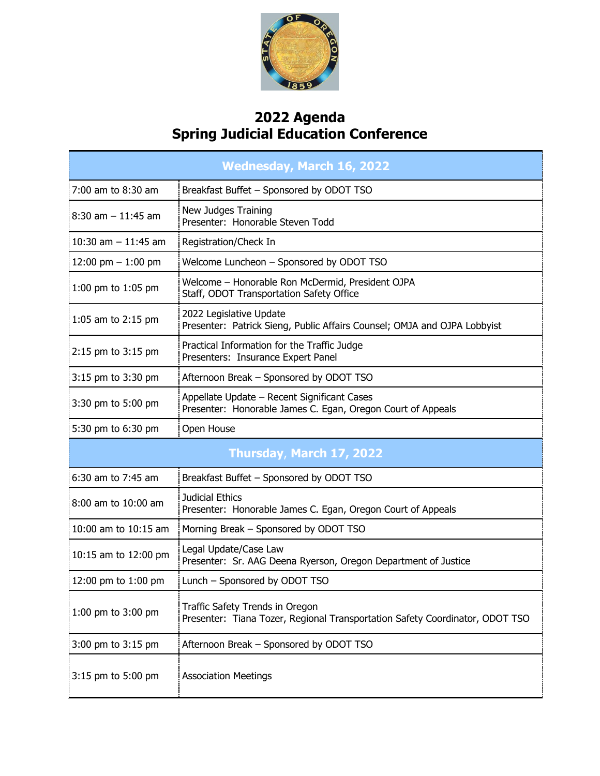

## **2022 Agenda Spring Judicial Education Conference**

| <b>Wednesday, March 16, 2022</b> |                                                                                                                 |  |
|----------------------------------|-----------------------------------------------------------------------------------------------------------------|--|
| 7:00 am to 8:30 am               | Breakfast Buffet - Sponsored by ODOT TSO                                                                        |  |
| $8:30$ am $-11:45$ am            | New Judges Training<br>Presenter: Honorable Steven Todd                                                         |  |
| 10:30 am $-$ 11:45 am            | Registration/Check In                                                                                           |  |
| 12:00 pm $-$ 1:00 pm             | Welcome Luncheon - Sponsored by ODOT TSO                                                                        |  |
| 1:00 pm to 1:05 pm               | Welcome - Honorable Ron McDermid, President OJPA<br>Staff, ODOT Transportation Safety Office                    |  |
| 1:05 am to 2:15 pm               | 2022 Legislative Update<br>Presenter: Patrick Sieng, Public Affairs Counsel; OMJA and OJPA Lobbyist             |  |
| 2:15 pm to 3:15 pm               | Practical Information for the Traffic Judge<br>Presenters: Insurance Expert Panel                               |  |
| 3:15 pm to 3:30 pm               | Afternoon Break - Sponsored by ODOT TSO                                                                         |  |
| 3:30 pm to 5:00 pm               | Appellate Update - Recent Significant Cases<br>Presenter: Honorable James C. Egan, Oregon Court of Appeals      |  |
| 5:30 pm to 6:30 pm               | Open House                                                                                                      |  |
| Thursday, March 17, 2022         |                                                                                                                 |  |
| 6:30 am to 7:45 am               | Breakfast Buffet - Sponsored by ODOT TSO                                                                        |  |
| 8:00 am to 10:00 am              | Judicial Ethics<br>Presenter: Honorable James C. Egan, Oregon Court of Appeals                                  |  |
| 10:00 am to 10:15 am             | Morning Break - Sponsored by ODOT TSO                                                                           |  |
| 10:15 am to 12:00 pm             | Legal Update/Case Law<br>Presenter: Sr. AAG Deena Ryerson, Oregon Department of Justice                         |  |
| 12:00 pm to 1:00 pm              | Lunch - Sponsored by ODOT TSO                                                                                   |  |
| 1:00 pm to 3:00 pm               | Traffic Safety Trends in Oregon<br>Presenter: Tiana Tozer, Regional Transportation Safety Coordinator, ODOT TSO |  |
| 3:00 pm to 3:15 pm               | Afternoon Break - Sponsored by ODOT TSO                                                                         |  |
| 3:15 pm to 5:00 pm               | <b>Association Meetings</b>                                                                                     |  |